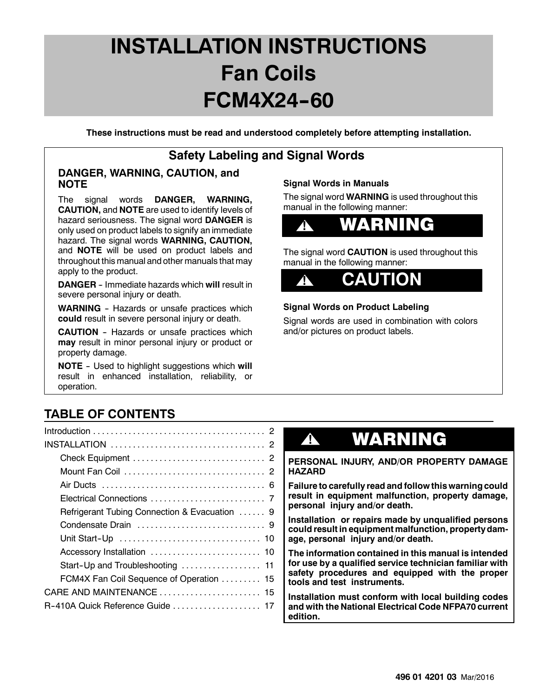**These instructions must be read and understood completely before attempting installation.**

### **Safety Labeling and Signal Words**

### **DANGER, WARNING, CAUTION, and NOTE**

The signal words **DANGER, WARNING, CAUTION,** and **NOTE** are used to identify levels of hazard seriousness. The signal word **DANGER** is only used on product labels to signify an immediate hazard. The signal words **WARNING, CAUTION,** and **NOTE** will be used on product labels and throughout this manual and other manuals that may apply to the product.

**DANGER** - Immediate hazards which will result in severe personal injury or death.

**WARNING** - Hazards or unsafe practices which **could** result in severe personal injury or death.

**CAUTION** - Hazards or unsafe practices which **may** result in minor personal injury or product or property damage.

**NOTE** - Used to highlight suggestions which will result in enhanced installation, reliability, or operation.

### **Signal Words in Manuals**

The signal word **WARNING** is used throughout this manual in the following manner:



The signal word **CAUTION** is used throughout this manual in the following manner:



### **Signal Words on Product Labeling**

Signal words are used in combination with colors and/or pictures on product labels.

### **TABLE OF CONTENTS**

| Refrigerant Tubing Connection & Evacuation  9 |
|-----------------------------------------------|
|                                               |
|                                               |
|                                               |
| Start-Up and Troubleshooting  11              |
| FCM4X Fan Coil Sequence of Operation  15      |
| CARE AND MAINTENANCE  15                      |
| R-410A Quick Reference Guide  17              |
|                                               |

# **!** WARNING

**PERSONAL INJURY, AND/OR PROPERTY DAMAGE HAZARD**

**Failure to carefully read and follow this warning could result in equipment malfunction, property damage, personal injury and/or death.**

**Installation or repairs made by unqualified persons could result in equipment malfunction, property damage, personal injury and/or death.**

**The information contained in this manual is intended for use by a qualified service technician familiar with safety procedures and equipped with the proper tools and test instruments.**

**Installation must conform with local building codes and with the National Electrical Code NFPA70 current edition.**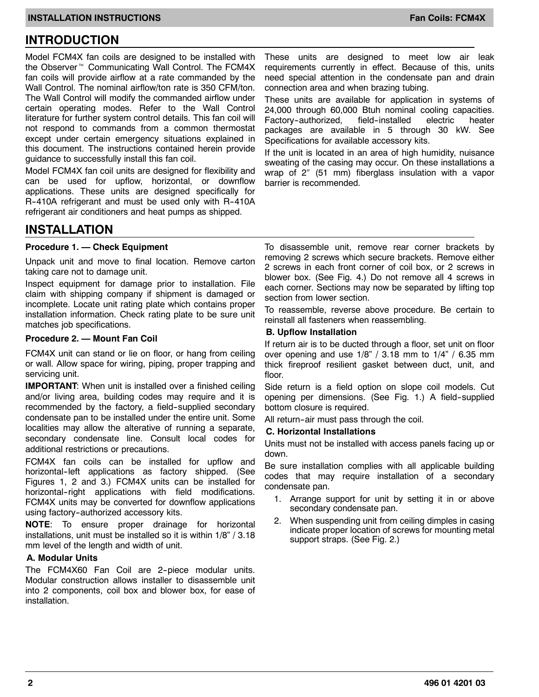### **INTRODUCTION**

Model FCM4X fan coils are designed to be installed with the Observer<sup>™</sup> Communicating Wall Control. The FCM4X fan coils will provide airflow at a rate commanded by the Wall Control. The nominal airflow/ton rate is 350 CFM/ton. The Wall Control will modify the commanded airflow under certain operating modes. Refer to the Wall Control literature for further system control details. This fan coil will not respond to commands from a common thermostat except under certain emergency situations explained in this document. The instructions contained herein provide guidance to successfully install this fan coil.

Model FCM4X fan coil units are designed for flexibility and can be used for upflow, horizontal, or downflow applications. These units are designed specifically for R-410A refrigerant and must be used only with R-410A refrigerant air conditioners and heat pumps as shipped.

These units are designed to meet low air leak requirements currently in effect. Because of this, units need special attention in the condensate pan and drain connection area and when brazing tubing.

These units are available for application in systems of 24,000 through 60,000 Btuh nominal cooling capacities. Factory-authorized, field-installed electric heater packages are available in 5 through 30 kW. See Specifications for available accessory kits.

If the unit is located in an area of high humidity, nuisance sweating of the casing may occur. On these installations a wrap of  $2''$  (51 mm) fiberglass insulation with a vapor barrier is recommended.

### **INSTALLATION**

#### **Procedure 1. — Check Equipment**

Unpack unit and move to final location. Remove carton taking care not to damage unit.

Inspect equipment for damage prior to installation. File claim with shipping company if shipment is damaged or incomplete. Locate unit rating plate which contains proper installation information. Check rating plate to be sure unit matches job specifications.

#### **Procedure 2. — Mount Fan Coil**

FCM4X unit can stand or lie on floor, or hang from ceiling or wall. Allow space for wiring, piping, proper trapping and servicing unit.

**IMPORTANT:** When unit is installed over a finished ceiling and/or living area, building codes may require and it is recommended by the factory, a field-supplied secondary condensate pan to be installed under the entire unit. Some localities may allow the alterative of running a separate, secondary condensate line. Consult local codes for additional restrictions or precautions.

FCM4X fan coils can be installed for upflow and horizontal-left applications as factory shipped. (See Figures 1, 2 and 3.) FCM4X units can be installed for horizontal-right applications with field modifications. FCM4X units may be converted for downflow applications using factory-authorized accessory kits.

**NOTE**: To ensure proper drainage for horizontal installations, unit must be installed so it is within 1/8" / 3.18 mm level of the length and width of unit.

#### **A. Modular Units**

The FCM4X60 Fan Coil are 2-piece modular units. Modular construction allows installer to disassemble unit into 2 components, coil box and blower box, for ease of installation.

To disassemble unit, remove rear corner brackets by removing 2 screws which secure brackets. Remove either 2 screws in each front corner of coil box, or 2 screws in blower box. (See Fig. 4.) Do not remove all 4 screws in each corner. Sections may now be separated by lifting top section from lower section.

To reassemble, reverse above procedure. Be certain to reinstall all fasteners when reassembling.

#### **B. Upflow Installation**

If return air is to be ducted through a floor, set unit on floor over opening and use  $1/8$ " / 3.18 mm to  $1/4$ " / 6.35 mm thick fireproof resilient gasket between duct, unit, and floor.

Side return is a field option on slope coil models. Cut opening per dimensions. (See Fig. 1.) A field-supplied bottom closure is required.

All return-air must pass through the coil.

#### **C. Horizontal Installations**

Units must not be installed with access panels facing up or down.

Be sure installation complies with all applicable building codes that may require installation of a secondary condensate pan.

- 1. Arrange support for unit by setting it in or above secondary condensate pan.
- 2. When suspending unit from ceiling dimples in casing indicate proper location of screws for mounting metal support straps. (See Fig. 2.)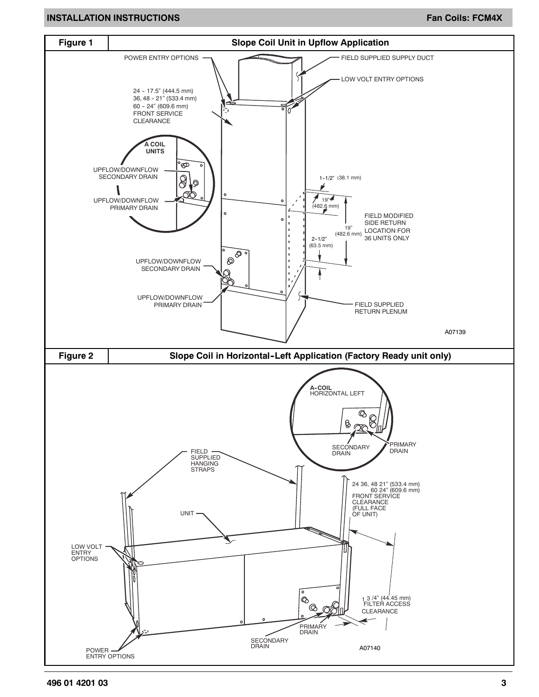#### **INSTALLATION INSTRUCTIONS FAN ALLATION INSTRUCTIONS**

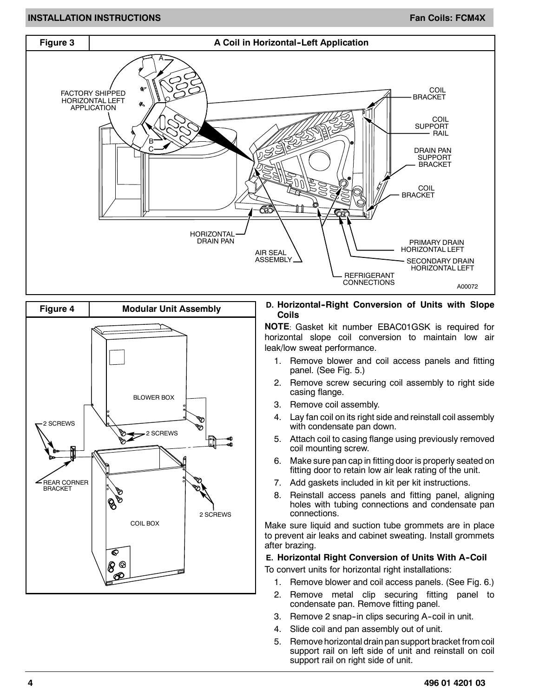#### **INSTALLATION INSTRUCTIONS FAN ALL AND SEXUAL CONSTANT OF A SEXUAL CONSTANT OF A SEXUAL CONSTANT OF A SEXUAL CO**





#### **D. Horizontal--Right Conversion of Units with Slope Coils**

**NOTE**: Gasket kit number EBAC01GSK is required for horizontal slope coil conversion to maintain low air leak/low sweat performance.

- 1. Remove blower and coil access panels and fitting panel. (See Fig. 5.)
- 2. Remove screw securing coil assembly to right side casing flange.
- 3. Remove coil assembly.
- 4. Lay fan coil on its right side and reinstall coil assembly with condensate pan down.
- 5. Attach coil to casing flange using previously removed coil mounting screw.
- 6. Make sure pan cap in fitting door is properly seated on fitting door to retain low air leak rating of the unit.
- 7. Add gaskets included in kit per kit instructions.
- 8. Reinstall access panels and fitting panel, aligning holes with tubing connections and condensate pan connections.

Make sure liquid and suction tube grommets are in place to prevent air leaks and cabinet sweating. Install grommets after brazing.

#### **E. Horizontal Right Conversion of Units With A-Coil**

To convert units for horizontal right installations:

- 1. Remove blower and coil access panels. (See Fig. 6.)
- 2. Remove metal clip securing fitting panel to condensate pan. Remove fitting panel.
- 3. Remove 2 snap-in clips securing A-coil in unit.
- 4. Slide coil and pan assembly out of unit.
- 5. Remove horizontal drain pan support bracket from coil support rail on left side of unit and reinstall on coil support rail on right side of unit.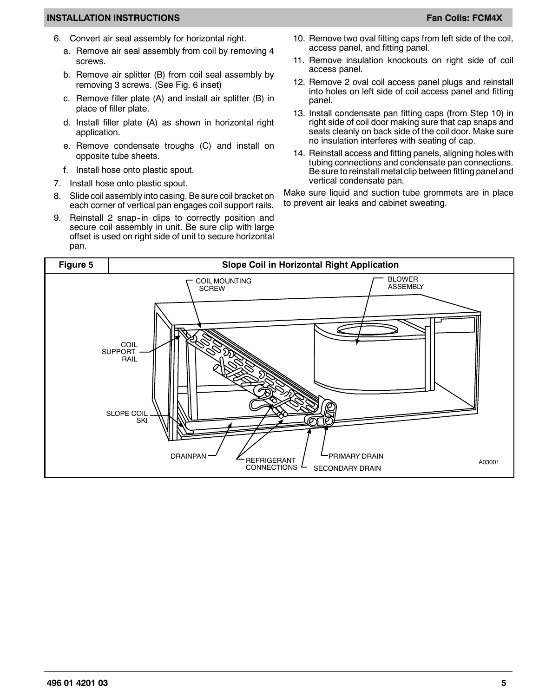- 6. Convert air seal assembly for horizontal right.
	- a. Remove air seal assembly from coil by removing 4 screws.
	- b. Remove air splitter (B) from coil seal assembly by removing 3 screws. (See Fig. 6 inset)
	- c. Remove filler plate (A) and install air splitter (B) in place of filler plate.
	- d. Install filler plate (A) as shown in horizontal right application.
	- e. Remove condensate troughs (C) and install on opposite tube sheets.
	- f. Install hose onto plastic spout.
- 7. Install hose onto plastic spout.
- 8. Slide coil assembly into casing. Be sure coil bracket on each corner of vertical pan engages coil support rails.
- 9. Reinstall 2 snap-in clips to correctly position and secure coil assembly in unit. Be sure clip with large offset is used on right side of unit to secure horizontal pan.
- 10. Remove two oval fitting caps from left side of the coil, access panel, and fitting panel.
- 11. Remove insulation knockouts on right side of coil access panel.
- 12. Remove 2 oval coil access panel plugs and reinstall into holes on left side of coil access panel and fitting panel.
- 13. Install condensate pan fitting caps (from Step 10) in right side of coil door making sure that cap snaps and seats cleanly on back side of the coil door. Make sure no insulation interferes with seating of cap.
- 14. Reinstall access and fitting panels, aligning holes with tubing connections and condensate pan connections. Be sure to reinstall metal clip between fitting panel and vertical condensate pan.

Make sure liquid and suction tube grommets are in place to prevent air leaks and cabinet sweating.

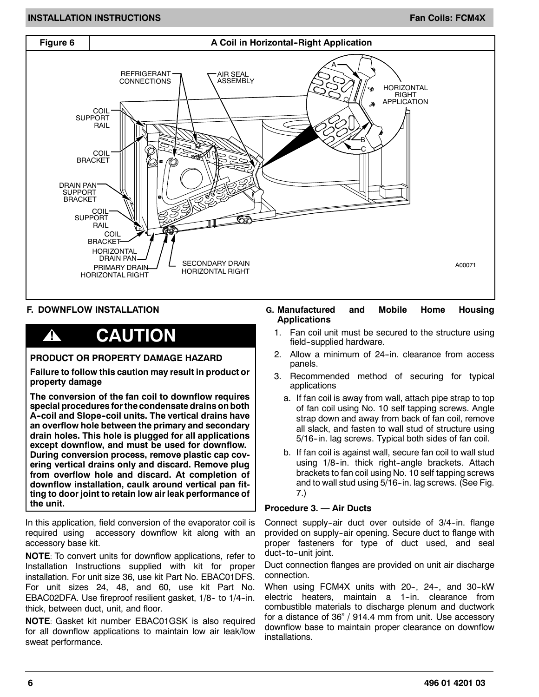#### **INSTALLATION INSTRUCTIONS FAN ALL AND SEXUAL CONSTANT OF A SEXUAL CONSTANT OF A SEXUAL CONSTANT OF A SEXUAL CO**



#### **F. DOWNFLOW INSTALLATION**

### **! CAUTION**

#### **PRODUCT OR PROPERTY DAMAGE HAZARD**

**Failure to follow this caution may result in product or property damage**

**The conversion of the fan coil to downflow requires special procedures for the condensate drains on both A--coil and Slope--coil units. The vertical drains have an overflow hole between the primary and secondary drain holes. This hole is plugged for all applications except downflow, and must be used for downflow. During conversion process, remove plastic cap covering vertical drains only and discard. Remove plug from overflow hole and discard. At completion of downflow installation, caulk around vertical pan fitting to door joint to retain low air leak performance of the unit.**

In this application, field conversion of the evaporator coil is required using accessory downflow kit along with an accessory base kit.

**NOTE**: To convert units for downflow applications, refer to Installation Instructions supplied with kit for proper installation. For unit size 36, use kit Part No. EBAC01DFS. For unit sizes 24, 48, and 60, use kit Part No. EBAC02DFA. Use fireproof resilient gasket, 1/8- to 1/4-in. thick, between duct, unit, and floor.

**NOTE**: Gasket kit number EBAC01GSK is also required for all downflow applications to maintain low air leak/low sweat performance.

#### **G. Manufactured and Mobile Home Housing Applications**

- 1. Fan coil unit must be secured to the structure using field--supplied hardware.
- 2. Allow a minimum of 24-in. clearance from access panels.
- 3. Recommended method of securing for typical applications
	- a. If fan coil is away from wall, attach pipe strap to top of fan coil using No. 10 self tapping screws. Angle strap down and away from back of fan coil, remove all slack, and fasten to wall stud of structure using 5/16-in. lag screws. Typical both sides of fan coil.
	- b. If fan coil is against wall, secure fan coil to wall stud using 1/8-in. thick right-angle brackets. Attach brackets to fan coil using No. 10 self tapping screws and to wall stud using 5/16-in. lag screws. (See Fig. 7.)

#### **Procedure 3. — Air Ducts**

Connect supply-air duct over outside of 3/4-in. flange provided on supply-air opening. Secure duct to flange with proper fasteners for type of duct used, and seal duct-to-unit joint.

Duct connection flanges are provided on unit air discharge connection.

When using FCM4X units with 20-, 24-, and 30-kW electric heaters, maintain a 1-in, clearance from combustible materials to discharge plenum and ductwork for a distance of 36" / 914.4 mm from unit. Use accessory downflow base to maintain proper clearance on downflow installations.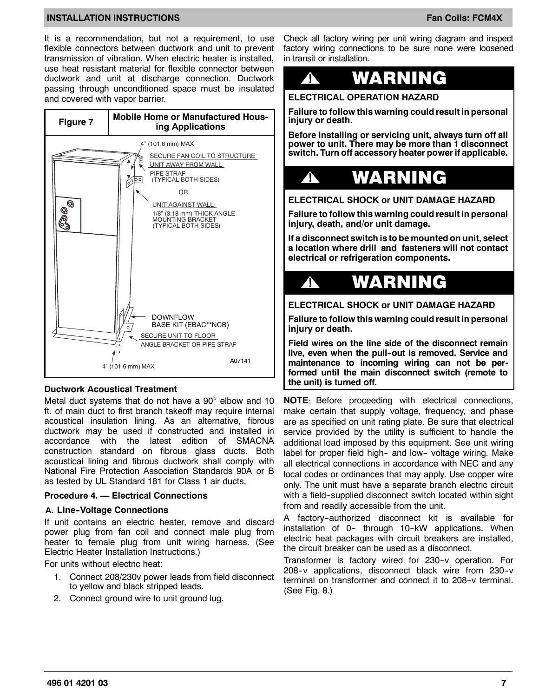It is a recommendation, but not a requirement, to use flexible connectors between ductwork and unit to prevent transmission of vibration. When electric heater is installed, use heat resistant material for flexible connector between ductwork and unit at discharge connection. Ductwork passing through unconditioned space must be insulated and covered with vapor barrier.



#### **Ductwork Acoustical Treatment**

Metal duct systems that do not have a 90° elbow and 10 ft. of main duct to first branch takeoff may require internal acoustical insulation lining. As an alternative, fibrous ductwork may be used if constructed and installed in accordance with the latest edition of SMACNA construction standard on fibrous glass ducts. Both acoustical lining and fibrous ductwork shall comply with National Fire Protection Association Standards 90A or B as tested by UL Standard 181 for Class 1 air ducts.

#### **Procedure 4. — Electrical Connections**

#### **A. Line--Voltage Connections**

If unit contains an electric heater, remove and discard power plug from fan coil and connect male plug from heater to female plug from unit wiring harness. (See Electric Heater Installation Instructions.)

For units without electric heat:

- 1. Connect 208/230v power leads from field disconnect to yellow and black stripped leads.
- 2. Connect ground wire to unit ground lug.

Check all factory wiring per unit wiring diagram and inspect factory wiring connections to be sure none were loosened in transit or installation.



**ELECTRICAL OPERATION HAZARD**

**Failure to follow this warning could result in personal injury or death.**

**Before installing or servicing unit, always turn off all power to unit. There may be more than 1 disconnect switch. Turn off accessory heater power if applicable.**



**ELECTRICAL SHOCK or UNIT DAMAGE HAZARD**

**Failure to follow this warning could result in personal injury, death, and/or unit damage.**

**If a disconnect switch is to be mounted on unit, select a location where drill and fasteners will not contact electrical or refrigeration components.**



**ELECTRICAL SHOCK or UNIT DAMAGE HAZARD**

**Failure to follow this warning could result in personal injury or death.**

**Field wires on the line side of the disconnect remain** live, even when the pull-out is removed. Service and **maintenance to incoming wiring can not be performed until the main disconnect switch (remote to the unit) is turned off.**

**NOTE**: Before proceeding with electrical connections, make certain that supply voltage, frequency, and phase are as specified on unit rating plate. Be sure that electrical service provided by the utility is sufficient to handle the additional load imposed by this equipment. See unit wiring label for proper field high- and low- voltage wiring. Make all electrical connections in accordance with NEC and any local codes or ordinances that may apply. Use copper wire only. The unit must have a separate branch electric circuit with a field-supplied disconnect switch located within sight from and readily accessible from the unit.

A factory-authorized disconnect kit is available for installation of 0- through 10-kW applications. When electric heat packages with circuit breakers are installed, the circuit breaker can be used as a disconnect.

Transformer is factory wired for 230-v operation. For 208--v applications, disconnect black wire from 230--v terminal on transformer and connect it to 208-v terminal. (See Fig. 8.)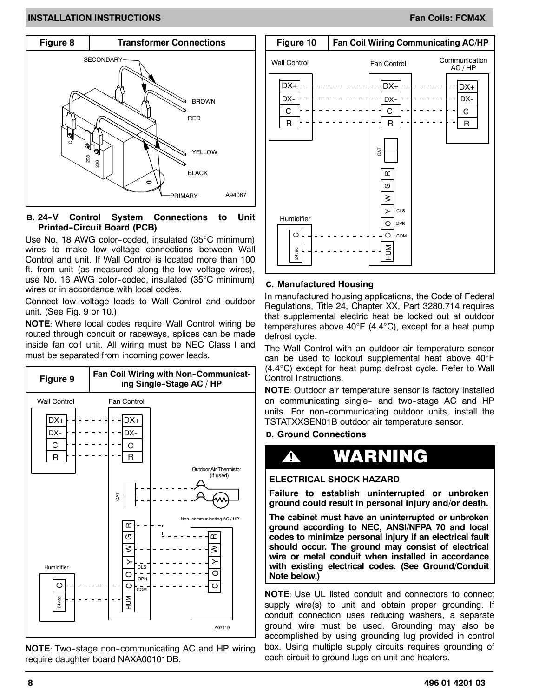

#### **B. 24--V Control System Connections to Unit Printed--Circuit Board (PCB)**

Use No. 18 AWG color-coded, insulated  $(35^{\circ}$ C minimum) wires to make low-voltage connections between Wall Control and unit. If Wall Control is located more than 100 ft. from unit (as measured along the low-voltage wires), use No. 16 AWG color-coded, insulated (35°C minimum) wires or in accordance with local codes.

Connect low--voltage leads to Wall Control and outdoor unit. (See Fig. 9 or 10.)

**NOTE**: Where local codes require Wall Control wiring be routed through conduit or raceways, splices can be made inside fan coil unit. All wiring must be NEC Class l and must be separated from incoming power leads.



**NOTE:** Two-stage non-communicating AC and HP wiring require daughter board NAXA00101DB.



#### **C. Manufactured Housing**

In manufactured housing applications, the Code of Federal Regulations, Title 24, Chapter XX, Part 3280.714 requires that supplemental electric heat be locked out at outdoor temperatures above 40°F (4.4°C), except for a heat pump defrost cycle.

The Wall Control with an outdoor air temperature sensor can be used to lockout supplemental heat above 40°F  $(4.4^{\circ}C)$  except for heat pump defrost cycle. Refer to Wall Control Instructions.

**NOTE**: Outdoor air temperature sensor is factory installed on communicating single- and two-stage AC and HP units. For non-communicating outdoor units, install the TSTATXXSEN01B outdoor air temperature sensor.

**D. Ground Connections**



#### **ELECTRICAL SHOCK HAZARD**

**Failure to establish uninterrupted or unbroken ground could result in personal injury and/or death.**

**The cabinet must have an uninterrupted or unbroken ground according to NEC, ANSI/NFPA 70 and local codes to minimize personal injury if an electrical fault should occur. The ground may consist of electrical wire or metal conduit when installed in accordance with existing electrical codes. (See Ground/Conduit Note below.)**

**NOTE**: Use UL listed conduit and connectors to connect supply wire(s) to unit and obtain proper grounding. If conduit connection uses reducing washers, a separate ground wire must be used. Grounding may also be accomplished by using grounding lug provided in control box. Using multiple supply circuits requires grounding of each circuit to ground lugs on unit and heaters.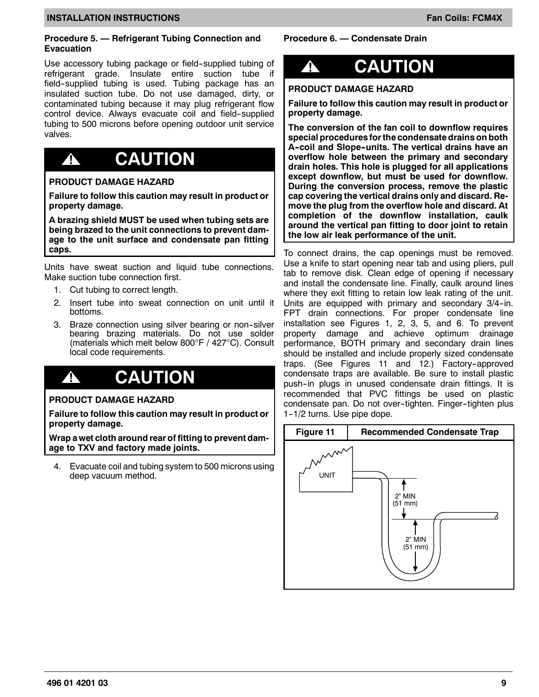#### **Procedure 5. — Refrigerant Tubing Connection and Evacuation**

Use accessory tubing package or field-supplied tubing of refrigerant grade. Insulate entire suction tube if field-supplied tubing is used. Tubing package has an insulated suction tube. Do not use damaged, dirty, or contaminated tubing because it may plug refrigerant flow control device. Always evacuate coil and field-supplied tubing to 500 microns before opening outdoor unit service valves.

## **! CAUTION**

#### **PRODUCT DAMAGE HAZARD**

**Failure to follow this caution may result in product or property damage.**

**A brazing shield MUST be used when tubing sets are being brazed to the unit connections to prevent damage to the unit surface and condensate pan fitting caps.**

Units have sweat suction and liquid tube connections. Make suction tube connection first.

- 1. Cut tubing to correct length.
- 2. Insert tube into sweat connection on unit until it bottoms.
- 3. Braze connection using silver bearing or non-silver bearing brazing materials. Do not use solder (materials which melt below  $800^{\circ}$ F / 427 $^{\circ}$ C). Consult local code requirements.

## **! CAUTION**

#### **PRODUCT DAMAGE HAZARD**

**Failure to follow this caution may result in product or property damage.**

**Wrap a wet cloth around rear of fitting to prevent damage to TXV and factory made joints.**

4. Evacuate coil and tubing system to 500 microns using deep vacuum method.

#### **Procedure 6. — Condensate Drain**

# **! CAUTION**

#### **PRODUCT DAMAGE HAZARD**

**Failure to follow this caution may result in product or property damage.**

**The conversion of the fan coil to downflow requires special procedures for the condensate drains on both A--coil and Slope--units. The vertical drains have an overflow hole between the primary and secondary drain holes. This hole is plugged for all applications except downflow, but must be used for downflow. During the conversion process, remove the plastic cap covering the vertical drains only and discard. Remove the plug from the overflow hole and discard. At completion of the downflow installation, caulk around the vertical pan fitting to door joint to retain the low air leak performance of the unit.**

To connect drains, the cap openings must be removed. Use a knife to start opening near tab and using pliers, pull tab to remove disk. Clean edge of opening if necessary and install the condensate line. Finally, caulk around lines where they exit fitting to retain low leak rating of the unit. Units are equipped with primary and secondary 3/4-in. FPT drain connections. For proper condensate line installation see Figures 1, 2, 3, 5, and 6. To prevent property damage and achieve optimum drainage performance, BOTH primary and secondary drain lines should be installed and include properly sized condensate traps. (See Figures 11 and 12.) Factory-approved condensate traps are available. Be sure to install plastic push--in plugs in unused condensate drain fittings. It is recommended that PVC fittings be used on plastic condensate pan. Do not over-tighten. Finger-tighten plus 1--1/2 turns. Use pipe dope.

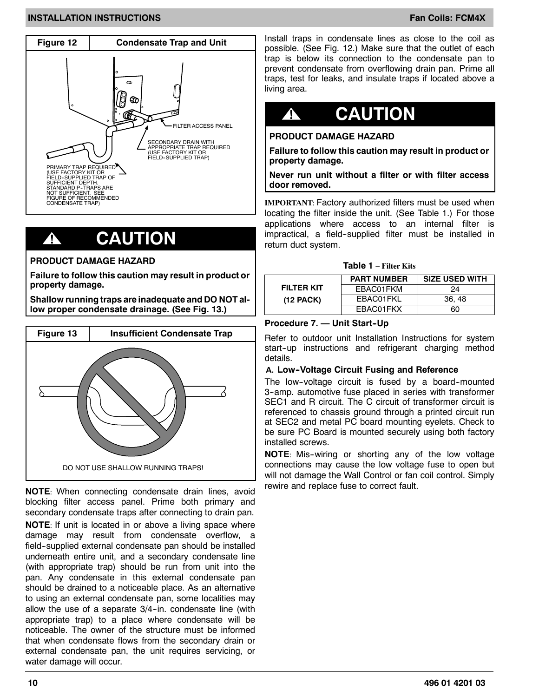

## **! CAUTION**

#### **PRODUCT DAMAGE HAZARD**

**Failure to follow this caution may result in product or property damage.**

**Shallow running traps are inadequate and DO NOT allow proper condensate drainage. (See Fig. 13.)**



**NOTE**: When connecting condensate drain lines, avoid blocking filter access panel. Prime both primary and secondary condensate traps after connecting to drain pan.

**NOTE**: If unit is located in or above a living space where damage may result from condensate overflow, a field-supplied external condensate pan should be installed underneath entire unit, and a secondary condensate line (with appropriate trap) should be run from unit into the pan. Any condensate in this external condensate pan should be drained to a noticeable place. As an alternative to using an external condensate pan, some localities may allow the use of a separate  $3/4$ -in. condensate line (with appropriate trap) to a place where condensate will be noticeable. The owner of the structure must be informed that when condensate flows from the secondary drain or external condensate pan, the unit requires servicing, or water damage will occur.

Install traps in condensate lines as close to the coil as possible. (See Fig. 12.) Make sure that the outlet of each trap is below its connection to the condensate pan to prevent condensate from overflowing drain pan. Prime all traps, test for leaks, and insulate traps if located above a living area.

# **! CAUTION**

#### **PRODUCT DAMAGE HAZARD**

**Failure to follow this caution may result in product or property damage.**

**Never run unit without a filter or with filter access door removed.**

**IMPORTANT**: Factory authorized filters must be used when locating the filter inside the unit. (See Table 1.) For those applications where access to an internal filter is impractical, a field-supplied filter must be installed in return duct system.

#### **Table 1 – Filter Kits**

|             | <b>PART NUMBER</b> | <b>SIZE USED WITH</b> |
|-------------|--------------------|-----------------------|
| FILTER KIT  | FBAC01FKM          | 24                    |
| $(12$ PACK) | EBAC01FKL          | 36, 48                |
|             | FBAC01FKX          | ഩ                     |

#### **Procedure 7. — Unit Start-Up**

Refer to outdoor unit Installation Instructions for system start-up instructions and refrigerant charging method details.

#### **A. Low--Voltage Circuit Fusing and Reference**

The low-voltage circuit is fused by a board-mounted 3-amp. automotive fuse placed in series with transformer SEC1 and R circuit. The C circuit of transformer circuit is referenced to chassis ground through a printed circuit run at SEC2 and metal PC board mounting eyelets. Check to be sure PC Board is mounted securely using both factory installed screws.

**NOTE**: Mis--wiring or shorting any of the low voltage connections may cause the low voltage fuse to open but will not damage the Wall Control or fan coil control. Simply rewire and replace fuse to correct fault.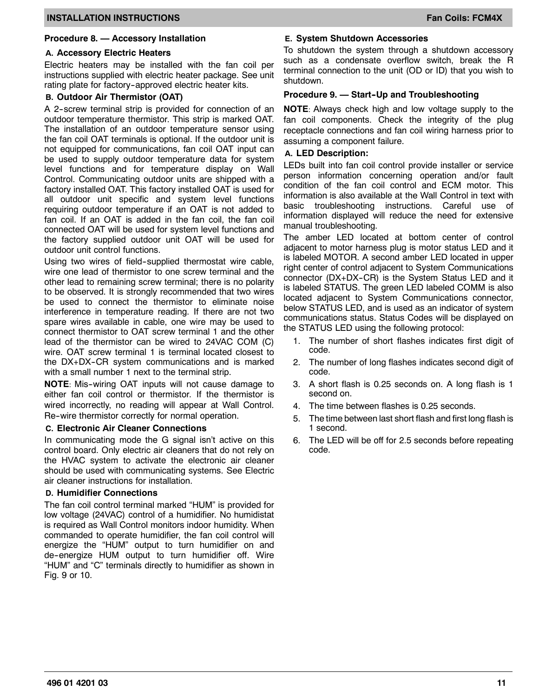#### **Procedure 8. — Accessory Installation**

#### **A. Accessory Electric Heaters**

Electric heaters may be installed with the fan coil per instructions supplied with electric heater package. See unit rating plate for factory-approved electric heater kits.

#### **B. Outdoor Air Thermistor (OAT)**

A 2-screw terminal strip is provided for connection of an outdoor temperature thermistor. This strip is marked OAT. The installation of an outdoor temperature sensor using the fan coil OAT terminals is optional. If the outdoor unit is not equipped for communications, fan coil OAT input can be used to supply outdoor temperature data for system level functions and for temperature display on Wall Control. Communicating outdoor units are shipped with a factory installed OAT. This factory installed OAT is used for all outdoor unit specific and system level functions requiring outdoor temperature if an OAT is not added to fan coil. If an OAT is added in the fan coil, the fan coil connected OAT will be used for system level functions and the factory supplied outdoor unit OAT will be used for outdoor unit control functions.

Using two wires of field-supplied thermostat wire cable, wire one lead of thermistor to one screw terminal and the other lead to remaining screw terminal; there is no polarity to be observed. It is strongly recommended that two wires be used to connect the thermistor to eliminate noise interference in temperature reading. If there are not two spare wires available in cable, one wire may be used to connect thermistor to OAT screw terminal 1 and the other lead of the thermistor can be wired to 24VAC COM (C) wire. OAT screw terminal 1 is terminal located closest to the DX+DX-CR system communications and is marked with a small number 1 next to the terminal strip.

**NOTE:** Mis-wiring OAT inputs will not cause damage to either fan coil control or thermistor. If the thermistor is wired incorrectly, no reading will appear at Wall Control. Re-wire thermistor correctly for normal operation.

#### **C. Electronic Air Cleaner Connections**

In communicating mode the G signal isn't active on this control board. Only electric air cleaners that do not rely on the HVAC system to activate the electronic air cleaner should be used with communicating systems. See Electric air cleaner instructions for installation.

#### **D. Humidifier Connections**

The fan coil control terminal marked "HUM" is provided for low voltage (24VAC) control of a humidifier. No humidistat is required as Wall Control monitors indoor humidity. When commanded to operate humidifier, the fan coil control will energize the "HUM" output to turn humidifier on and de--energize HUM output to turn humidifier off. Wire "HUM" and "C" terminals directly to humidifier as shown in Fig. 9 or 10.

#### **E. System Shutdown Accessories**

To shutdown the system through a shutdown accessory such as a condensate overflow switch, break the R terminal connection to the unit (OD or ID) that you wish to shutdown.

#### **Procedure 9. — Start--Up and Troubleshooting**

**NOTE**: Always check high and low voltage supply to the fan coil components. Check the integrity of the plug receptacle connections and fan coil wiring harness prior to assuming a component failure.

#### **A. LED Description:**

LEDs built into fan coil control provide installer or service person information concerning operation and/or fault condition of the fan coil control and ECM motor. This information is also available at the Wall Control in text with basic troubleshooting instructions. Careful use of information displayed will reduce the need for extensive manual troubleshooting.

The amber LED located at bottom center of control adjacent to motor harness plug is motor status LED and it is labeled MOTOR. A second amber LED located in upper right center of control adjacent to System Communications connector (DX+DX-CR) is the System Status LED and it is labeled STATUS. The green LED labeled COMM is also located adjacent to System Communications connector, below STATUS LED, and is used as an indicator of system communications status. Status Codes will be displayed on the STATUS LED using the following protocol:

- 1. The number of short flashes indicates first digit of code.
- 2. The number of long flashes indicates second digit of code.
- 3. A short flash is 0.25 seconds on. A long flash is 1 second on.
- 4. The time between flashes is 0.25 seconds.
- 5. The time between last short flash and first long flash is 1 second.
- 6. The LED will be off for 2.5 seconds before repeating code.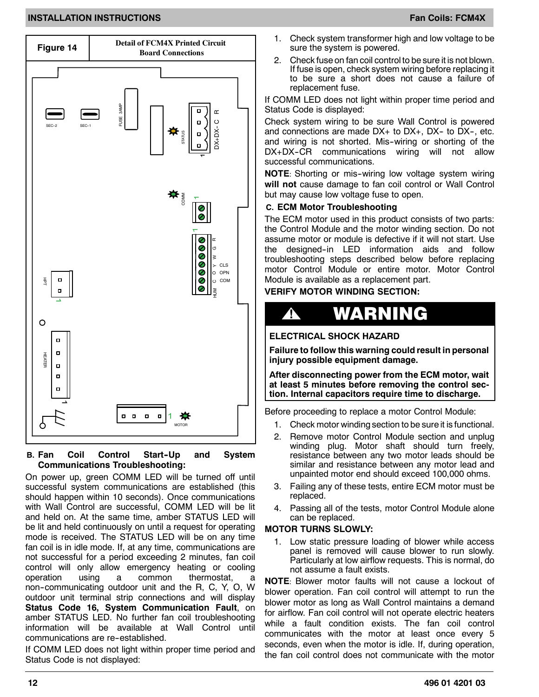

#### **B.** Fan Coil Control Start-Up and System **Communications Troubleshooting:**

On power up, green COMM LED will be turned off until successful system communications are established (this should happen within 10 seconds). Once communications with Wall Control are successful, COMM LED will be lit and held on. At the same time, amber STATUS LED will be lit and held continuously on until a request for operating mode is received. The STATUS LED will be on any time fan coil is in idle mode. If, at any time, communications are not successful for a period exceeding 2 minutes, fan coil control will only allow emergency heating or cooling operation using a common thermostat, a non--communicating outdoor unit and the R, C, Y, O, W outdoor unit terminal strip connections and will display **Status Code 16, System Communication Fault**, on amber STATUS LED. No further fan coil troubleshooting information will be available at Wall Control until communications are re-established.

If COMM LED does not light within proper time period and Status Code is not displayed:

- 1. Check system transformer high and low voltage to be sure the system is powered.
- 2. Check fuse on fan coil control to be sure it is not blown. If fuse is open, check system wiring before replacing it to be sure a short does not cause a failure of replacement fuse.

If COMM LED does not light within proper time period and Status Code is displayed:

Check system wiring to be sure Wall Control is powered and connections are made  $DX$ + to  $DX$ +,  $DX$ - to  $DX$ -, etc. and wiring is not shorted. Mis-wiring or shorting of the DX+DX-CR communications wiring will not allow successful communications.

**NOTE:** Shorting or mis-wiring low voltage system wiring **will not** cause damage to fan coil control or Wall Control but may cause low voltage fuse to open.

#### **C. ECM Motor Troubleshooting**

The ECM motor used in this product consists of two parts: the Control Module and the motor winding section. Do not assume motor or module is defective if it will not start. Use the designed-in LED information aids and follow troubleshooting steps described below before replacing motor Control Module or entire motor. Motor Control Module is available as a replacement part.

### **VERIFY MOTOR WINDING SECTION:**



**ELECTRICAL SHOCK HAZARD**

**Failure to follow this warning could result in personal injury possible equipment damage.**

**After disconnecting power from the ECM motor, wait at least 5 minutes before removing the control section. Internal capacitors require time to discharge.**

Before proceeding to replace a motor Control Module:

- 1. Check motor winding section to be sure it is functional.
- 2. Remove motor Control Module section and unplug winding plug. Motor shaft should turn freely, resistance between any two motor leads should be similar and resistance between any motor lead and unpainted motor end should exceed 100,000 ohms.
- 3. Failing any of these tests, entire ECM motor must be replaced.
- 4. Passing all of the tests, motor Control Module alone can be replaced.

#### **MOTOR TURNS SLOWLY:**

1. Low static pressure loading of blower while access panel is removed will cause blower to run slowly. Particularly at low airflow requests. This is normal, do not assume a fault exists.

**NOTE**: Blower motor faults will not cause a lockout of blower operation. Fan coil control will attempt to run the blower motor as long as Wall Control maintains a demand for airflow. Fan coil control will not operate electric heaters while a fault condition exists. The fan coil control communicates with the motor at least once every 5 seconds, even when the motor is idle. If, during operation, the fan coil control does not communicate with the motor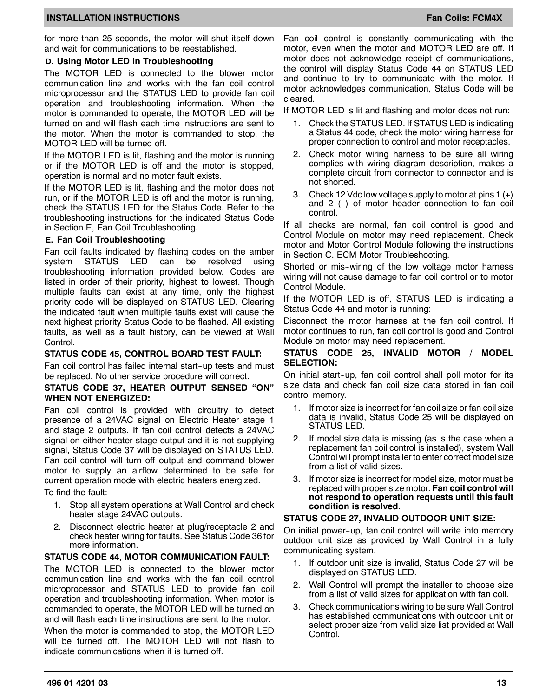#### **INSTALLATION INSTRUCTIONS FAN ALL AND LOCAL CONSTALLATION INSTRUCTIONS**

for more than 25 seconds, the motor will shut itself down and wait for communications to be reestablished.

#### **D. Using Motor LED in Troubleshooting**

The MOTOR LED is connected to the blower motor communication line and works with the fan coil control microprocessor and the STATUS LED to provide fan coil operation and troubleshooting information. When the motor is commanded to operate, the MOTOR LED will be turned on and will flash each time instructions are sent to the motor. When the motor is commanded to stop, the MOTOR LED will be turned off.

If the MOTOR LED is lit, flashing and the motor is running or if the MOTOR LED is off and the motor is stopped, operation is normal and no motor fault exists.

If the MOTOR LED is lit, flashing and the motor does not run, or if the MOTOR LED is off and the motor is running, check the STATUS LED for the Status Code. Refer to the troubleshooting instructions for the indicated Status Code in Section E, Fan Coil Troubleshooting.

#### **E. Fan Coil Troubleshooting**

Fan coil faults indicated by flashing codes on the amber system STATUS LED can be resolved using troubleshooting information provided below. Codes are listed in order of their priority, highest to lowest. Though multiple faults can exist at any time, only the highest priority code will be displayed on STATUS LED. Clearing the indicated fault when multiple faults exist will cause the next highest priority Status Code to be flashed. All existing faults, as well as a fault history, can be viewed at Wall Control.

#### **STATUS CODE 45, CONTROL BOARD TEST FAULT:**

Fan coil control has failed internal start-up tests and must be replaced. No other service procedure will correct.

#### **STATUS CODE 37, HEATER OUTPUT SENSED "ON" WHEN NOT ENERGIZED:**

Fan coil control is provided with circuitry to detect presence of a 24VAC signal on Electric Heater stage 1 and stage 2 outputs. If fan coil control detects a 24VAC signal on either heater stage output and it is not supplying signal, Status Code 37 will be displayed on STATUS LED. Fan coil control will turn off output and command blower motor to supply an airflow determined to be safe for current operation mode with electric heaters energized.

To find the fault:

- 1. Stop all system operations at Wall Control and check heater stage 24VAC outputs.
- 2. Disconnect electric heater at plug/receptacle 2 and check heater wiring for faults. See Status Code 36 for more information.

#### **STATUS CODE 44, MOTOR COMMUNICATION FAULT:**

The MOTOR LED is connected to the blower motor communication line and works with the fan coil control microprocessor and STATUS LED to provide fan coil operation and troubleshooting information. When motor is commanded to operate, the MOTOR LED will be turned on and will flash each time instructions are sent to the motor.

When the motor is commanded to stop, the MOTOR LED will be turned off. The MOTOR LED will not flash to indicate communications when it is turned off.

Fan coil control is constantly communicating with the motor, even when the motor and MOTOR LED are off. If motor does not acknowledge receipt of communications, the control will display Status Code 44 on STATUS LED and continue to try to communicate with the motor. If motor acknowledges communication, Status Code will be cleared.

If MOTOR LED is lit and flashing and motor does not run:

- 1. Check the STATUS LED. If STATUS LED is indicating a Status 44 code, check the motor wiring harness for proper connection to control and motor receptacles.
- 2. Check motor wiring harness to be sure all wiring complies with wiring diagram description, makes a complete circuit from connector to connector and is not shorted.
- 3. Check 12 Vdc low voltage supply to motor at pins 1 (+) and  $2$  (-) of motor header connection to fan coil control.

If all checks are normal, fan coil control is good and Control Module on motor may need replacement. Check motor and Motor Control Module following the instructions in Section C. ECM Motor Troubleshooting.

Shorted or mis-wiring of the low voltage motor harness wiring will not cause damage to fan coil control or to motor Control Module.

If the MOTOR LED is off, STATUS LED is indicating a Status Code 44 and motor is running:

Disconnect the motor harness at the fan coil control. If motor continues to run, fan coil control is good and Control Module on motor may need replacement.

#### **STATUS CODE 25, INVALID MOTOR / MODEL SELECTION:**

On initial start--up, fan coil control shall poll motor for its size data and check fan coil size data stored in fan coil control memory.

- 1. If motor size is incorrect for fan coil size or fan coil size data is invalid, Status Code 25 will be displayed on STATUS LED.
- 2. If model size data is missing (as is the case when a replacement fan coil control is installed), system Wall Control will prompt installer to enter correct model size from a list of valid sizes.
- 3. If motor size is incorrect for model size, motor must be replaced with proper size motor. **Fan coil control will not respond to operation requests until this fault condition is resolved.**

#### **STATUS CODE 27, INVALID OUTDOOR UNIT SIZE:**

On initial power--up, fan coil control will write into memory outdoor unit size as provided by Wall Control in a fully communicating system.

- 1. If outdoor unit size is invalid, Status Code 27 will be displayed on STATUS LED.
- 2. Wall Control will prompt the installer to choose size from a list of valid sizes for application with fan coil.
- 3. Check communications wiring to be sure Wall Control has established communications with outdoor unit or select proper size from valid size list provided at Wall Control.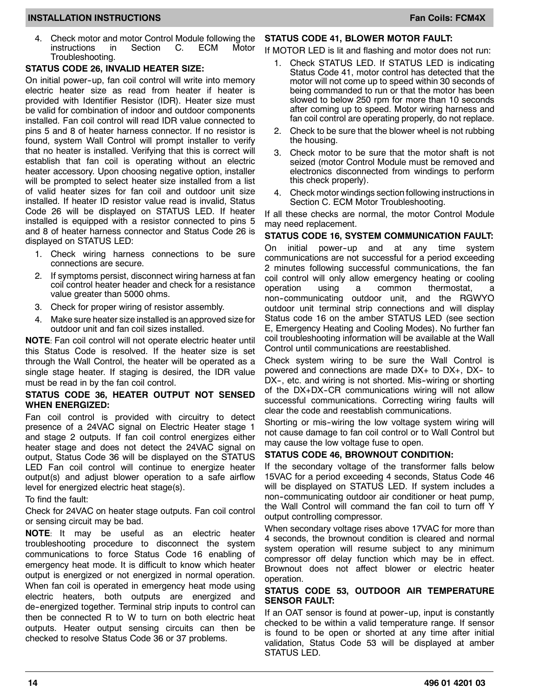#### **INSTALLATION INSTRUCTIONS FAN ALL AND SEXUAL CONSTANT OF A SEXUAL CONSTANT OF A SEXUAL CONSTANT OF A SEXUAL CO**

#### **STATUS CODE 26, INVALID HEATER SIZE:**

On initial power--up, fan coil control will write into memory electric heater size as read from heater if heater is provided with Identifier Resistor (IDR). Heater size must be valid for combination of indoor and outdoor components installed. Fan coil control will read IDR value connected to pins 5 and 8 of heater harness connector. If no resistor is found, system Wall Control will prompt installer to verify that no heater is installed. Verifying that this is correct will establish that fan coil is operating without an electric heater accessory. Upon choosing negative option, installer will be prompted to select heater size installed from a list of valid heater sizes for fan coil and outdoor unit size installed. If heater ID resistor value read is invalid, Status Code 26 will be displayed on STATUS LED. If heater installed is equipped with a resistor connected to pins 5 and 8 of heater harness connector and Status Code 26 is displayed on STATUS LED:

- 1. Check wiring harness connections to be sure connections are secure.
- 2. If symptoms persist, disconnect wiring harness at fan coil control heater header and check for a resistance value greater than 5000 ohms.
- 3. Check for proper wiring of resistor assembly.
- 4. Make sure heater size installed is an approved size for outdoor unit and fan coil sizes installed.

**NOTE**: Fan coil control will not operate electric heater until this Status Code is resolved. If the heater size is set through the Wall Control, the heater will be operated as a single stage heater. If staging is desired, the IDR value must be read in by the fan coil control.

#### **STATUS CODE 36, HEATER OUTPUT NOT SENSED WHEN ENERGIZED:**

Fan coil control is provided with circuitry to detect presence of a 24VAC signal on Electric Heater stage 1 and stage 2 outputs. If fan coil control energizes either heater stage and does not detect the 24VAC signal on output, Status Code 36 will be displayed on the STATUS LED Fan coil control will continue to energize heater output(s) and adjust blower operation to a safe airflow level for energized electric heat stage(s).

To find the fault:

Check for 24VAC on heater stage outputs. Fan coil control or sensing circuit may be bad.

**NOTE**: It may be useful as an electric heater troubleshooting procedure to disconnect the system communications to force Status Code 16 enabling of emergency heat mode. It is difficult to know which heater output is energized or not energized in normal operation. When fan coil is operated in emergency heat mode using electric heaters, both outputs are energized and de--energized together. Terminal strip inputs to control can then be connected R to W to turn on both electric heat outputs. Heater output sensing circuits can then be checked to resolve Status Code 36 or 37 problems.

#### **STATUS CODE 41, BLOWER MOTOR FAULT:**

If MOTOR LED is lit and flashing and motor does not run:

- 1. Check STATUS LED. If STATUS LED is indicating Status Code 41, motor control has detected that the motor will not come up to speed within 30 seconds of being commanded to run or that the motor has been slowed to below 250 rpm for more than 10 seconds after coming up to speed. Motor wiring harness and fan coil control are operating properly, do not replace.
- 2. Check to be sure that the blower wheel is not rubbing the housing.
- 3. Check motor to be sure that the motor shaft is not seized (motor Control Module must be removed and electronics disconnected from windings to perform this check properly).
- 4. Check motor windings section following instructions in Section C. ECM Motor Troubleshooting.

If all these checks are normal, the motor Control Module may need replacement.

#### **STATUS CODE 16, SYSTEM COMMUNICATION FAULT:**

On initial power--up and at any time system communications are not successful for a period exceeding 2 minutes following successful communications, the fan coil control will only allow emergency heating or cooling operation using a common thermostat, a non--communicating outdoor unit, and the RGWYO outdoor unit terminal strip connections and will display Status code 16 on the amber STATUS LED (see section E, Emergency Heating and Cooling Modes). No further fan coil troubleshooting information will be available at the Wall Control until communications are reestablished.

Check system wiring to be sure the Wall Control is powered and connections are made DX+ to DX+, DX-- to DX-, etc. and wiring is not shorted. Mis-wiring or shorting of the  $DX+DX-CR$  communications wiring will not allow successful communications. Correcting wiring faults will clear the code and reestablish communications.

Shorting or mis-wiring the low voltage system wiring will not cause damage to fan coil control or to Wall Control but may cause the low voltage fuse to open.

#### **STATUS CODE 46, BROWNOUT CONDITION:**

If the secondary voltage of the transformer falls below 15VAC for a period exceeding 4 seconds, Status Code 46 will be displayed on STATUS LED. If system includes a non--communicating outdoor air conditioner or heat pump, the Wall Control will command the fan coil to turn off Y output controlling compressor.

When secondary voltage rises above 17VAC for more than 4 seconds, the brownout condition is cleared and normal system operation will resume subject to any minimum compressor off delay function which may be in effect. Brownout does not affect blower or electric heater operation.

#### **STATUS CODE 53, OUTDOOR AIR TEMPERATURE SENSOR FAULT:**

If an OAT sensor is found at power-up, input is constantly checked to be within a valid temperature range. If sensor is found to be open or shorted at any time after initial validation, Status Code 53 will be displayed at amber STATUS LED.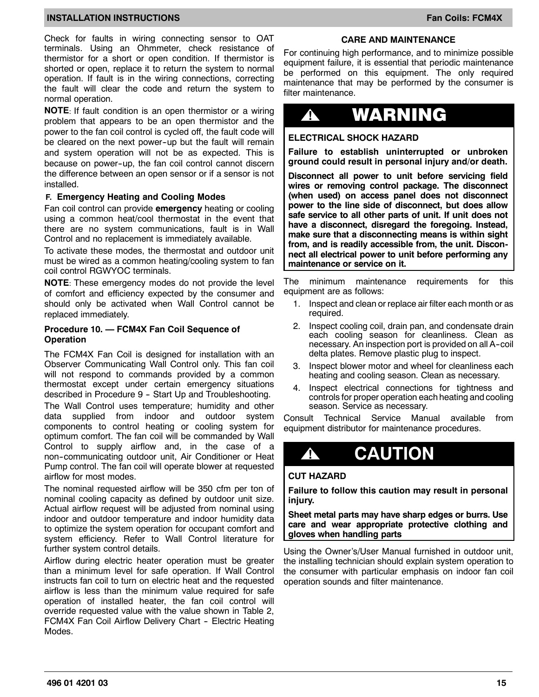Check for faults in wiring connecting sensor to OAT terminals. Using an Ohmmeter, check resistance of thermistor for a short or open condition. If thermistor is shorted or open, replace it to return the system to normal operation. If fault is in the wiring connections, correcting the fault will clear the code and return the system to normal operation.

**NOTE**: If fault condition is an open thermistor or a wiring problem that appears to be an open thermistor and the power to the fan coil control is cycled off, the fault code will be cleared on the next power-up but the fault will remain and system operation will not be as expected. This is because on power--up, the fan coil control cannot discern the difference between an open sensor or if a sensor is not installed.

#### **F. Emergency Heating and Cooling Modes**

Fan coil control can provide **emergency** heating or cooling using a common heat/cool thermostat in the event that there are no system communications, fault is in Wall Control and no replacement is immediately available.

To activate these modes, the thermostat and outdoor unit must be wired as a common heating/cooling system to fan coil control RGWYOC terminals.

**NOTE**: These emergency modes do not provide the level of comfort and efficiency expected by the consumer and should only be activated when Wall Control cannot be replaced immediately.

#### **Procedure 10. — FCM4X Fan Coil Sequence of Operation**

The FCM4X Fan Coil is designed for installation with an Observer Communicating Wall Control only. This fan coil will not respond to commands provided by a common thermostat except under certain emergency situations described in Procedure 9 - Start Up and Troubleshooting. The Wall Control uses temperature; humidity and other data supplied from indoor and outdoor system components to control heating or cooling system for optimum comfort. The fan coil will be commanded by Wall Control to supply airflow and, in the case of a non--communicating outdoor unit, Air Conditioner or Heat Pump control. The fan coil will operate blower at requested airflow for most modes.

The nominal requested airflow will be 350 cfm per ton of nominal cooling capacity as defined by outdoor unit size. Actual airflow request will be adjusted from nominal using indoor and outdoor temperature and indoor humidity data to optimize the system operation for occupant comfort and system efficiency. Refer to Wall Control literature for further system control details.

Airflow during electric heater operation must be greater than a minimum level for safe operation. If Wall Control instructs fan coil to turn on electric heat and the requested airflow is less than the minimum value required for safe operation of installed heater, the fan coil control will override requested value with the value shown in Table 2, FCM4X Fan Coil Airflow Delivery Chart - Electric Heating Modes.

#### **CARE AND MAINTENANCE**

For continuing high performance, and to minimize possible equipment failure, it is essential that periodic maintenance be performed on this equipment. The only required maintenance that may be performed by the consumer is filter maintenance.

# **!** WARNING

#### **ELECTRICAL SHOCK HAZARD**

**Failure to establish uninterrupted or unbroken ground could result in personal injury and/or death.**

**Disconnect all power to unit before servicing field wires or removing control package. The disconnect (when used) on access panel does not disconnect power to the line side of disconnect, but does allow safe service to all other parts of unit. If unit does not have a disconnect, disregard the foregoing. Instead, make sure that a disconnecting means is within sight from, and is readily accessible from, the unit. Disconnect all electrical power to unit before performing any maintenance or service on it.**

The minimum maintenance requirements for this equipment are as follows:

- 1. Inspect and clean or replace air filter each month or as required.
- 2. Inspect cooling coil, drain pan, and condensate drain each cooling season for cleanliness. Clean as necessary. An inspection port is provided on all A--coil delta plates. Remove plastic plug to inspect.
- 3. Inspect blower motor and wheel for cleanliness each heating and cooling season. Clean as necessary.
- 4. Inspect electrical connections for tightness and controls for proper operation each heating and cooling season. Service as necessary.

Consult Technical Service Manual available from equipment distributor for maintenance procedures.

# **! CAUTION**

#### **CUT HAZARD**

**Failure to follow this caution may result in personal injury.**

**Sheet metal parts may have sharp edges or burrs. Use care and wear appropriate protective clothing and gloves when handling parts**

Using the Owner's/User Manual furnished in outdoor unit, the installing technician should explain system operation to the consumer with particular emphasis on indoor fan coil operation sounds and filter maintenance.